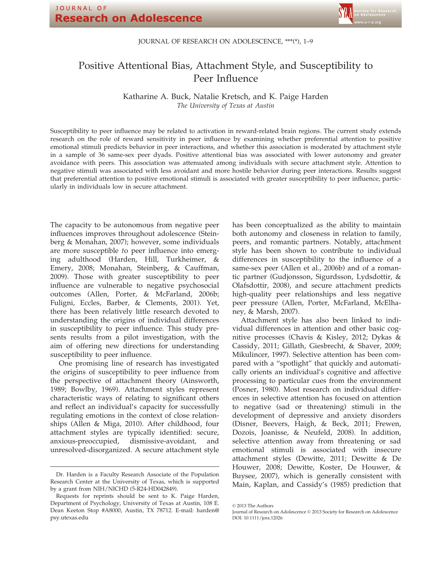JOURNAL OF RESEARCH ON ADOLESCENCE, \*\*\*(\*), 1–9

# Positive Attentional Bias, Attachment Style, and Susceptibility to Peer Influence

Katharine A. Buck, Natalie Kretsch, and K. Paige Harden The University of Texas at Austin

Susceptibility to peer influence may be related to activation in reward-related brain regions. The current study extends research on the role of reward sensitivity in peer influence by examining whether preferential attention to positive emotional stimuli predicts behavior in peer interactions, and whether this association is moderated by attachment style in a sample of 36 same-sex peer dyads. Positive attentional bias was associated with lower autonomy and greater avoidance with peers. This association was attenuated among individuals with secure attachment style. Attention to negative stimuli was associated with less avoidant and more hostile behavior during peer interactions. Results suggest that preferential attention to positive emotional stimuli is associated with greater susceptibility to peer influence, particularly in individuals low in secure attachment.

The capacity to be autonomous from negative peer influences improves throughout adolescence (Steinberg & Monahan, 2007); however, some individuals are more susceptible to peer influence into emerging adulthood (Harden, Hill, Turkheimer, & Emery, 2008; Monahan, Steinberg, & Cauffman, 2009). Those with greater susceptibility to peer influence are vulnerable to negative psychosocial outcomes (Allen, Porter, & McFarland, 2006b; Fuligni, Eccles, Barber, & Clements, 2001). Yet, there has been relatively little research devoted to understanding the origins of individual differences in susceptibility to peer influence. This study presents results from a pilot investigation, with the aim of offering new directions for understanding susceptibility to peer influence.

One promising line of research has investigated the origins of susceptibility to peer influence from the perspective of attachment theory (Ainsworth, 1989; Bowlby, 1969). Attachment styles represent characteristic ways of relating to significant others and reflect an individual's capacity for successfully regulating emotions in the context of close relationships (Allen & Miga, 2010). After childhood, four attachment styles are typically identified: secure, anxious-preoccupied, dismissive-avoidant, and unresolved-disorganized. A secure attachment style

has been conceptualized as the ability to maintain both autonomy and closeness in relation to family, peers, and romantic partners. Notably, attachment style has been shown to contribute to individual differences in susceptibility to the influence of a same-sex peer (Allen et al., 2006b) and of a romantic partner (Gudjonsson, Sigurdsson, Lydsdottir, & Olafsdottir, 2008), and secure attachment predicts high-quality peer relationships and less negative peer pressure (Allen, Porter, McFarland, McElhaney, & Marsh, 2007).

Attachment style has also been linked to individual differences in attention and other basic cognitive processes (Chavis & Kisley, 2012; Dykas & Cassidy, 2011; Gillath, Giesbrecht, & Shaver, 2009; Mikulincer, 1997). Selective attention has been compared with a "spotlight" that quickly and automatically orients an individual's cognitive and affective processing to particular cues from the environment (Posner, 1980). Most research on individual differences in selective attention has focused on attention to negative (sad or threatening) stimuli in the development of depressive and anxiety disorders (Disner, Beevers, Haigh, & Beck, 2011; Frewen, Dozois, Joanisse, & Neufeld, 2008). In addition, selective attention away from threatening or sad emotional stimuli is associated with insecure attachment styles (Dewitte, 2011; Dewitte & De Houwer, 2008; Dewitte, Koster, De Houwer, & Buysee, 2007), which is generally consistent with Main, Kaplan, and Cassidy's (1985) prediction that

Dr. Harden is a Faculty Research Associate of the Population Research Center at the University of Texas, which is supported by a grant from NIH/NICHD (5-R24-HD042849).

Requests for reprints should be sent to K. Paige Harden, Department of Psychology, University of Texas at Austin, 108 E. Dean Keeton Stop #A8000, Austin, TX 78712. E-mail: harden@ psy.utexas.edu

<sup>©</sup> 2013 The Authors

Journal of Research on Adolescence © 2013 Society for Research on Adolescence DOI: 10.1111/jora.12026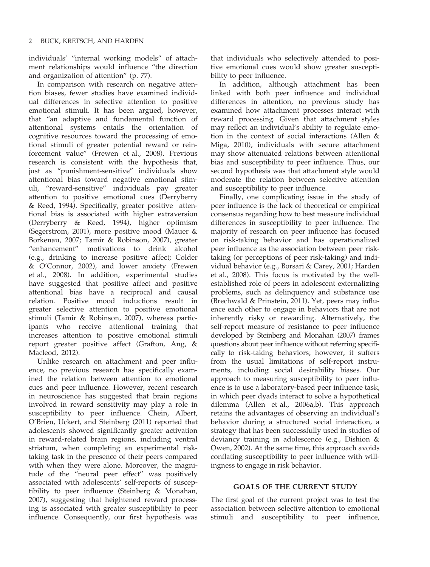individuals' "internal working models" of attachment relationships would influence "the direction and organization of attention" (p. 77).

In comparison with research on negative attention biases, fewer studies have examined individual differences in selective attention to positive emotional stimuli. It has been argued, however, that "an adaptive and fundamental function of attentional systems entails the orientation of cognitive resources toward the processing of emotional stimuli of greater potential reward or reinforcement value" (Frewen et al., 2008). Previous research is consistent with the hypothesis that, just as "punishment-sensitive" individuals show attentional bias toward negative emotional stimuli, "reward-sensitive" individuals pay greater attention to positive emotional cues (Derryberry & Reed, 1994). Specifically, greater positive attentional bias is associated with higher extraversion (Derryberry & Reed, 1994), higher optimism (Segerstrom, 2001), more positive mood (Mauer & Borkenau, 2007; Tamir & Robinson, 2007), greater "enhancement" motivations to drink alcohol (e.g., drinking to increase positive affect; Colder & O'Connor, 2002), and lower anxiety (Frewen et al., 2008). In addition, experimental studies have suggested that positive affect and positive attentional bias have a reciprocal and causal relation. Positive mood inductions result in greater selective attention to positive emotional stimuli (Tamir & Robinson, 2007), whereas participants who receive attentional training that increases attention to positive emotional stimuli report greater positive affect (Grafton, Ang, & Macleod, 2012).

Unlike research on attachment and peer influence, no previous research has specifically examined the relation between attention to emotional cues and peer influence. However, recent research in neuroscience has suggested that brain regions involved in reward sensitivity may play a role in susceptibility to peer influence. Chein, Albert, O'Brien, Uckert, and Steinberg (2011) reported that adolescents showed significantly greater activation in reward-related brain regions, including ventral striatum, when completing an experimental risktaking task in the presence of their peers compared with when they were alone. Moreover, the magnitude of the "neural peer effect" was positively associated with adolescents' self-reports of susceptibility to peer influence (Steinberg & Monahan, 2007), suggesting that heightened reward processing is associated with greater susceptibility to peer influence. Consequently, our first hypothesis was

that individuals who selectively attended to positive emotional cues would show greater susceptibility to peer influence.

In addition, although attachment has been linked with both peer influence and individual differences in attention, no previous study has examined how attachment processes interact with reward processing. Given that attachment styles may reflect an individual's ability to regulate emotion in the context of social interactions (Allen & Miga, 2010), individuals with secure attachment may show attenuated relations between attentional bias and susceptibility to peer influence. Thus, our second hypothesis was that attachment style would moderate the relation between selective attention and susceptibility to peer influence.

Finally, one complicating issue in the study of peer influence is the lack of theoretical or empirical consensus regarding how to best measure individual differences in susceptibility to peer influence. The majority of research on peer influence has focused on risk-taking behavior and has operationalized peer influence as the association between peer risktaking (or perceptions of peer risk-taking) and individual behavior (e.g., Borsari & Carey, 2001; Harden et al., 2008). This focus is motivated by the wellestablished role of peers in adolescent externalizing problems, such as delinquency and substance use (Brechwald & Prinstein, 2011). Yet, peers may influence each other to engage in behaviors that are not inherently risky or rewarding. Alternatively, the self-report measure of resistance to peer influence developed by Steinberg and Monahan (2007) frames questions about peer influence without referring specifically to risk-taking behaviors; however, it suffers from the usual limitations of self-report instruments, including social desirability biases. Our approach to measuring susceptibility to peer influence is to use a laboratory-based peer influence task, in which peer dyads interact to solve a hypothetical dilemma (Allen et al., 2006a,b). This approach retains the advantages of observing an individual's behavior during a structured social interaction, a strategy that has been successfully used in studies of deviancy training in adolescence (e.g., Dishion & Owen, 2002). At the same time, this approach avoids conflating susceptibility to peer influence with willingness to engage in risk behavior.

# GOALS OF THE CURRENT STUDY

The first goal of the current project was to test the association between selective attention to emotional stimuli and susceptibility to peer influence,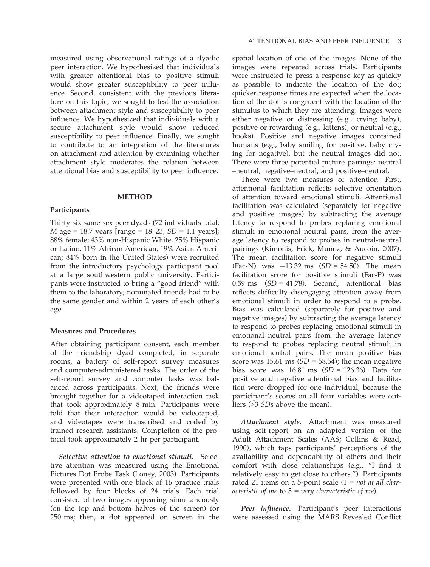measured using observational ratings of a dyadic peer interaction. We hypothesized that individuals with greater attentional bias to positive stimuli would show greater susceptibility to peer influence. Second, consistent with the previous literature on this topic, we sought to test the association between attachment style and susceptibility to peer influence. We hypothesized that individuals with a secure attachment style would show reduced susceptibility to peer influence. Finally, we sought to contribute to an integration of the literatures on attachment and attention by examining whether attachment style moderates the relation between attentional bias and susceptibility to peer influence.

## METHOD

## Participants

Thirty-six same-sex peer dyads (72 individuals total; *M* age = 18.7 years [range = 18–23, *SD* = 1.1 years]; 88% female; 43% non-Hispanic White, 25% Hispanic or Latino, 11% African American, 19% Asian American; 84% born in the United States) were recruited from the introductory psychology participant pool at a large southwestern public university. Participants were instructed to bring a "good friend" with them to the laboratory; nominated friends had to be the same gender and within 2 years of each other's age.

## Measures and Procedures

After obtaining participant consent, each member of the friendship dyad completed, in separate rooms, a battery of self-report survey measures and computer-administered tasks. The order of the self-report survey and computer tasks was balanced across participants. Next, the friends were brought together for a videotaped interaction task that took approximately 8 min. Participants were told that their interaction would be videotaped, and videotapes were transcribed and coded by trained research assistants. Completion of the protocol took approximately 2 hr per participant.

Selective attention to emotional stimuli. Selective attention was measured using the Emotional Pictures Dot Probe Task (Loney, 2003). Participants were presented with one block of 16 practice trials followed by four blocks of 24 trials. Each trial consisted of two images appearing simultaneously (on the top and bottom halves of the screen) for 250 ms; then, a dot appeared on screen in the

spatial location of one of the images. None of the images were repeated across trials. Participants were instructed to press a response key as quickly as possible to indicate the location of the dot; quicker response times are expected when the location of the dot is congruent with the location of the stimulus to which they are attending. Images were either negative or distressing (e.g., crying baby), positive or rewarding (e.g., kittens), or neutral (e.g., books). Positive and negative images contained humans (e.g., baby smiling for positive, baby crying for negative), but the neutral images did not. There were three potential picture pairings: neutral –neutral, negative–neutral, and positive–neutral.

There were two measures of attention. First, attentional facilitation reflects selective orientation of attention toward emotional stimuli. Attentional facilitation was calculated (separately for negative and positive images) by subtracting the average latency to respond to probes replacing emotional stimuli in emotional–neutral pairs, from the average latency to respond to probes in neutral-neutral pairings (Kimonis, Frick, Munoz, & Aucoin, 2007). The mean facilitation score for negative stimuli (Fac-N) was  $-13.32$  ms  $(SD = 54.50)$ . The mean facilitation score for positive stimuli (Fac-P) was 0.59 ms  $(SD = 41.78)$ . Second, attentional bias reflects difficulty disengaging attention away from emotional stimuli in order to respond to a probe. Bias was calculated (separately for positive and negative images) by subtracting the average latency to respond to probes replacing emotional stimuli in emotional–neutral pairs from the average latency to respond to probes replacing neutral stimuli in emotional–neutral pairs. The mean positive bias score was 15.61 ms  $(SD = 58.54)$ ; the mean negative bias score was  $16.81$  ms  $(SD = 126.36)$ . Data for positive and negative attentional bias and facilitation were dropped for one individual, because the participant's scores on all four variables were outliers (>3 SDs above the mean).

Attachment style. Attachment was measured using self-report on an adapted version of the Adult Attachment Scales (AAS; Collins & Read, 1990), which taps participants' perceptions of the availability and dependability of others and their comfort with close relationships (e.g., "I find it relatively easy to get close to others."). Participants rated 21 items on a 5-point scale  $(1 = not at all char$ acteristic of me to  $5 = \text{very characteristic of }$ .

Peer influence. Participant's peer interactions were assessed using the MARS Revealed Conflict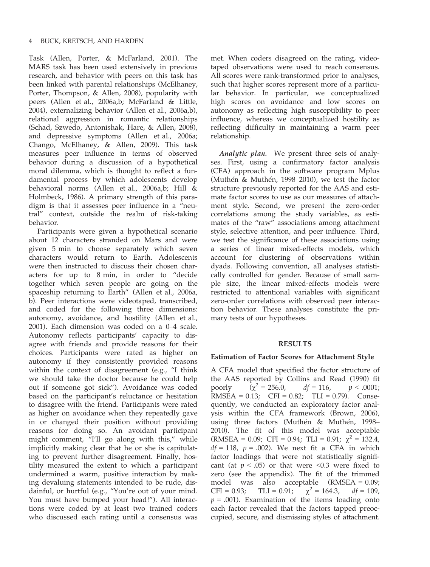Task (Allen, Porter, & McFarland, 2001). The MARS task has been used extensively in previous research, and behavior with peers on this task has been linked with parental relationships (McElhaney, Porter, Thompson, & Allen, 2008), popularity with peers (Allen et al., 2006a,b; McFarland & Little, 2004), externalizing behavior (Allen et al., 2006a,b), relational aggression in romantic relationships (Schad, Szwedo, Antonishak, Hare, & Allen, 2008), and depressive symptoms (Allen et al., 2006a; Chango, McElhaney, & Allen, 2009). This task measures peer influence in terms of observed behavior during a discussion of a hypothetical moral dilemma, which is thought to reflect a fundamental process by which adolescents develop behavioral norms (Allen et al., 2006a,b; Hill & Holmbeck, 1986). A primary strength of this paradigm is that it assesses peer influence in a "neutral" context, outside the realm of risk-taking behavior.

Participants were given a hypothetical scenario about 12 characters stranded on Mars and were given 5 min to choose separately which seven characters would return to Earth. Adolescents were then instructed to discuss their chosen characters for up to 8 min, in order to "decide together which seven people are going on the spaceship returning to Earth" (Allen et al., 2006a, b). Peer interactions were videotaped, transcribed, and coded for the following three dimensions: autonomy, avoidance, and hostility (Allen et al., 2001). Each dimension was coded on a 0–4 scale. Autonomy reflects participants' capacity to disagree with friends and provide reasons for their choices. Participants were rated as higher on autonomy if they consistently provided reasons within the context of disagreement (e.g., "I think we should take the doctor because he could help out if someone got sick"). Avoidance was coded based on the participant's reluctance or hesitation to disagree with the friend. Participants were rated as higher on avoidance when they repeatedly gave in or changed their position without providing reasons for doing so. An avoidant participant might comment, "I'll go along with this," while implicitly making clear that he or she is capitulating to prevent further disagreement. Finally, hostility measured the extent to which a participant undermined a warm, positive interaction by making devaluing statements intended to be rude, disdainful, or hurtful (e.g., "You're out of your mind. You must have bumped your head!"). All interactions were coded by at least two trained coders who discussed each rating until a consensus was

met. When coders disagreed on the rating, videotaped observations were used to reach consensus. All scores were rank-transformed prior to analyses, such that higher scores represent more of a particular behavior. In particular, we conceptualized high scores on avoidance and low scores on autonomy as reflecting high susceptibility to peer influence, whereas we conceptualized hostility as reflecting difficulty in maintaining a warm peer relationship.

Analytic plan. We present three sets of analyses. First, using a confirmatory factor analysis (CFA) approach in the software program Mplus (Muthén & Muthén, 1998–2010), we test the factor structure previously reported for the AAS and estimate factor scores to use as our measures of attachment style. Second, we present the zero-order correlations among the study variables, as estimates of the "raw" associations among attachment style, selective attention, and peer influence. Third, we test the significance of these associations using a series of linear mixed-effects models, which account for clustering of observations within dyads. Following convention, all analyses statistically controlled for gender. Because of small sample size, the linear mixed-effects models were restricted to attentional variables with significant zero-order correlations with observed peer interaction behavior. These analyses constitute the primary tests of our hypotheses.

# RESULTS

# Estimation of Factor Scores for Attachment Style

A CFA model that specified the factor structure of the AAS reported by Collins and Read (1990) fit poorly  $(\chi^2 = 256.0, \quad df = 116, \quad p < .0001;$  $RMSEA = 0.13$ ;  $CFI = 0.82$ ;  $TLI = 0.79$ ). Consequently, we conducted an exploratory factor analysis within the CFA framework (Brown, 2006), using three factors (Muthén & Muthén, 1998– 2010). The fit of this model was acceptable  $(RMSEA = 0.09; CFI = 0.94; TLI = 0.91; \chi^2 = 132.4,$  $df = 118$ ,  $p = .002$ ). We next fit a CFA in which factor loadings that were not statistically significant (at  $p < .05$ ) or that were <0.3 were fixed to zero (see the appendix). The fit of the trimmed model was also acceptable (RMSEA = 0.09; CFI = 0.93; TLI = 0.91;  $\chi^2 = 164.3$ ,  $df = 109$ ,  $p = .001$ ). Examination of the items loading onto each factor revealed that the factors tapped preoccupied, secure, and dismissing styles of attachment.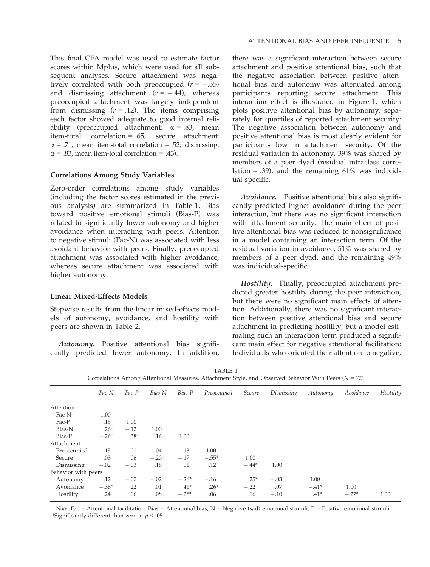This final CFA model was used to estimate factor scores within Mplus, which were used for all subsequent analyses. Secure attachment was negatively correlated with both preoccupied  $(r = -.55)$ and dismissing attachment  $(r = -.44)$ , whereas preoccupied attachment was largely independent from dismissing  $(r = .12)$ . The items comprising each factor showed adequate to good internal reliability (preoccupied attachment:  $\alpha = .83$ , mean item-total correlation = .65; secure attachment:  $\alpha$  = .71, mean item-total correlation = .52; dismissing:  $\alpha$  = .83, mean item-total correlation = .43).

## Correlations Among Study Variables

Zero-order correlations among study variables (including the factor scores estimated in the previous analysis) are summarized in Table 1. Bias toward positive emotional stimuli (Bias-P) was related to significantly lower autonomy and higher avoidance when interacting with peers. Attention to negative stimuli (Fac-N) was associated with less avoidant behavior with peers. Finally, preoccupied attachment was associated with higher avoidance, whereas secure attachment was associated with higher autonomy.

## Linear Mixed-Effects Models

Stepwise results from the linear mixed-effects models of autonomy, avoidance, and hostility with peers are shown in Table 2.

Autonomy. Positive attentional bias significantly predicted lower autonomy. In addition,

there was a significant interaction between secure attachment and positive attentional bias, such that the negative association between positive attentional bias and autonomy was attenuated among participants reporting secure attachment. This interaction effect is illustrated in Figure 1, which plots positive attentional bias by autonomy, separately for quartiles of reported attachment security: The negative association between autonomy and positive attentional bias is most clearly evident for participants low in attachment security. Of the residual variation in autonomy, 39% was shared by members of a peer dyad (residual intraclass correlation = .39), and the remaining  $61\%$  was individual-specific.

Avoidance. Positive attentional bias also significantly predicted higher avoidance during the peer interaction, but there was no significant interaction with attachment security. The main effect of positive attentional bias was reduced to nonsignificance in a model containing an interaction term. Of the residual variation in avoidance, 51% was shared by members of a peer dyad, and the remaining 49% was individual-specific.

Hostility. Finally, preoccupied attachment predicted greater hostility during the peer interaction, but there were no significant main effects of attention. Additionally, there was no significant interaction between positive attentional bias and secure attachment in predicting hostility, but a model estimating such an interaction term produced a significant main effect for negative attentional facilitation: Individuals who oriented their attention to negative,

TABLE 1 Correlations Among Attentional Measures, Attachment Style, and Observed Behavior With Peers ( $N = 72$ )

|                     | Fac-N   | $Fac-P$ | Bias-N | Bias-P  | Preoccupied | Secure  | Dismissing | Autonomy | Avoidance | Hostility |
|---------------------|---------|---------|--------|---------|-------------|---------|------------|----------|-----------|-----------|
| Attention           |         |         |        |         |             |         |            |          |           |           |
| Fac-N               | 1.00    |         |        |         |             |         |            |          |           |           |
| Fac-P               | .15     | 1.00    |        |         |             |         |            |          |           |           |
| Bias-N              | $.26*$  | $-.12$  | 1.00   |         |             |         |            |          |           |           |
| Bias-P              | $-.26*$ | $.38*$  | .16    | 1.00    |             |         |            |          |           |           |
| Attachment          |         |         |        |         |             |         |            |          |           |           |
| Preoccupied         | $-.15$  | .01     | $-.04$ | .13     | 1.00        |         |            |          |           |           |
| Secure              | .03     | .06     | $-.20$ | $-.17$  | $-.55*$     | 1.00    |            |          |           |           |
| Dismissing          | $-.02$  | $-.03$  | .16    | .01     | .12         | $-.44*$ | 1.00       |          |           |           |
| Behavior with peers |         |         |        |         |             |         |            |          |           |           |
| Autonomy            | .12     | $-.07$  | $-.02$ | $-.26*$ | $-.16$      | $.25*$  | $-.03$     | 1.00     |           |           |
| Avoidance           | $-.36*$ | .22     | .01    | $.41*$  | $.26*$      | $-.22$  | .07        | $-.41*$  | 1.00      |           |
| Hostility           | .24     | .06     | .08    | $-.28*$ | .06         | .16     | $-.10$     | $.41*$   | $-.27*$   | 1.00      |

Note. Fac = Attentional facilitation; Bias = Attentional bias;  $N =$  Negative (sad) emotional stimuli;  $P =$  Positive emotional stimuli. \*Significantly different than zero at  $p < .05$ .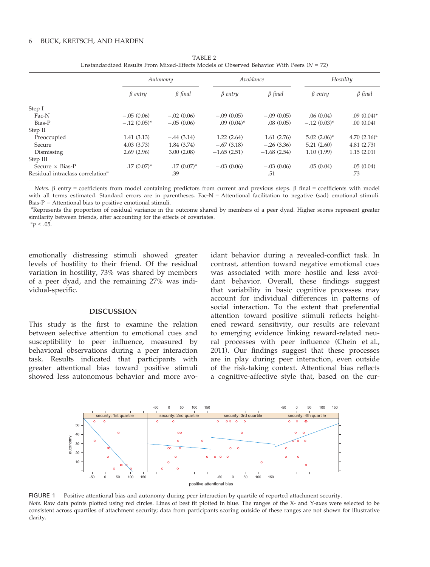|                                              |                | Autonomy      | Avoidance     |               | Hostility      |                |
|----------------------------------------------|----------------|---------------|---------------|---------------|----------------|----------------|
|                                              | $\beta$ entry  | $\beta$ final | $\beta$ entry | $\beta$ final | $\beta$ entry  | $\beta$ final  |
| Step I                                       |                |               |               |               |                |                |
| Fac-N                                        | $-.05(0.06)$   | $-.02(0.06)$  | $-.09(0.05)$  | $-.09(0.05)$  | .06(0.04)      | $.09(0.04)$ *  |
| Bias-P                                       | $-.12(0.05)^*$ | $-.05(0.06)$  | $.09(0.04)$ * | .08(0.05)     | $-.12(0.03)*$  | .00(0.04)      |
| Step II                                      |                |               |               |               |                |                |
| Preoccupied                                  | 1.41(3.13)     | $-.44(3.14)$  | 1.22(2.64)    | 1.61(2.76)    | $5.02(2.06)^*$ | $4.70(2.16)^*$ |
| Secure                                       | 4.03(3.73)     | 1.84(3.74)    | $-.67(3.18)$  | $-.26(3.36)$  | 5.21(2.60)     | 4.81 (2.73)    |
| Dismissing                                   | 2.69(2.96)     | 3.00(2.08)    | $-1.65(2.51)$ | $-1.68(2.54)$ | 1.10(1.99)     | 1.15(2.01)     |
| Step III                                     |                |               |               |               |                |                |
| Secure $\times$ Bias-P                       | $.17(0.07)^*$  | $.17(0.07)^*$ | $-.03(0.06)$  | $-.03(0.06)$  | .05(0.04)      | .05(0.04)      |
| Residual intraclass correlation <sup>a</sup> |                | .39           |               | .51           |                | .73            |

TABLE 2 Unstandardized Results From Mixed-Effects Models of Observed Behavior With Peers ( $N = 72$ )

Notes.  $\beta$  entry = coefficients from model containing predictors from current and previous steps.  $\beta$  final = coefficients with model with all terms estimated. Standard errors are in parentheses. Fac-N = Attentional facilitation to negative (sad) emotional stimuli.  $Bias-P =$  Attentional bias to positive emotional stimuli.

<sup>a</sup>Represents the proportion of residual variance in the outcome shared by members of a peer dyad. Higher scores represent greater similarity between friends, after accounting for the effects of covariates.  $*_{p}$  < .05.

emotionally distressing stimuli showed greater levels of hostility to their friend. Of the residual variation in hostility, 73% was shared by members of a peer dyad, and the remaining 27% was individual-specific.

#### DISCUSSION

This study is the first to examine the relation between selective attention to emotional cues and susceptibility to peer influence, measured by behavioral observations during a peer interaction task. Results indicated that participants with greater attentional bias toward positive stimuli showed less autonomous behavior and more avoidant behavior during a revealed-conflict task. In contrast, attention toward negative emotional cues was associated with more hostile and less avoidant behavior. Overall, these findings suggest that variability in basic cognitive processes may account for individual differences in patterns of social interaction. To the extent that preferential attention toward positive stimuli reflects heightened reward sensitivity, our results are relevant to emerging evidence linking reward-related neural processes with peer influence (Chein et al., 2011). Our findings suggest that these processes are in play during peer interaction, even outside of the risk-taking context. Attentional bias reflects a cognitive-affective style that, based on the cur-



FIGURE 1 Positive attentional bias and autonomy during peer interaction by quartile of reported attachment security. Note. Raw data points plotted using red circles. Lines of best fit plotted in blue. The ranges of the X- and Y-axes were selected to be consistent across quartiles of attachment security; data from participants scoring outside of these ranges are not shown for illustrative clarity.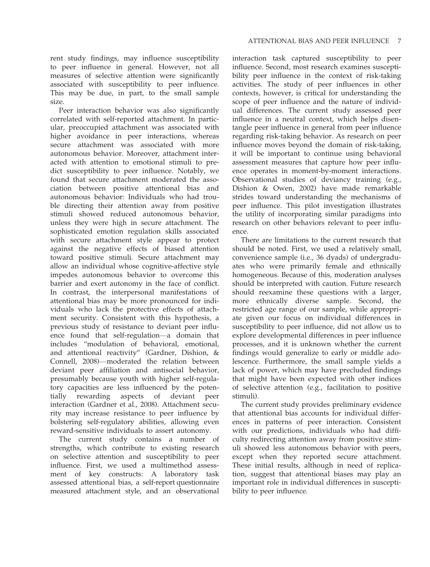rent study findings, may influence susceptibility to peer influence in general. However, not all measures of selective attention were significantly associated with susceptibility to peer influence. This may be due, in part, to the small sample size.

Peer interaction behavior was also significantly correlated with self-reported attachment. In particular, preoccupied attachment was associated with higher avoidance in peer interactions, whereas secure attachment was associated with more autonomous behavior. Moreover, attachment interacted with attention to emotional stimuli to predict susceptibility to peer influence. Notably, we found that secure attachment moderated the association between positive attentional bias and autonomous behavior: Individuals who had trouble directing their attention away from positive stimuli showed reduced autonomous behavior, unless they were high in secure attachment. The sophisticated emotion regulation skills associated with secure attachment style appear to protect against the negative effects of biased attention toward positive stimuli. Secure attachment may allow an individual whose cognitive-affective style impedes autonomous behavior to overcome this barrier and exert autonomy in the face of conflict. In contrast, the interpersonal manifestations of attentional bias may be more pronounced for individuals who lack the protective effects of attachment security. Consistent with this hypothesis, a previous study of resistance to deviant peer influence found that self-regulation—a domain that includes "modulation of behavioral, emotional, and attentional reactivity" (Gardner, Dishion, & Connell, 2008)—moderated the relation between deviant peer affiliation and antisocial behavior, presumably because youth with higher self-regulatory capacities are less influenced by the potentially rewarding aspects of deviant peer interaction (Gardner et al., 2008). Attachment security may increase resistance to peer influence by bolstering self-regulatory abilities, allowing even reward-sensitive individuals to assert autonomy.

The current study contains a number of strengths, which contribute to existing research on selective attention and susceptibility to peer influence. First, we used a multimethod assessment of key constructs: A laboratory task assessed attentional bias, a self-report questionnaire measured attachment style, and an observational

interaction task captured susceptibility to peer influence. Second, most research examines susceptibility peer influence in the context of risk-taking activities. The study of peer influences in other contexts, however, is critical for understanding the scope of peer influence and the nature of individual differences. The current study assessed peer influence in a neutral context, which helps disentangle peer influence in general from peer influence regarding risk-taking behavior. As research on peer influence moves beyond the domain of risk-taking, it will be important to continue using behavioral assessment measures that capture how peer influence operates in moment-by-moment interactions. Observational studies of deviancy training (e.g., Dishion & Owen, 2002) have made remarkable strides toward understanding the mechanisms of peer influence. This pilot investigation illustrates the utility of incorporating similar paradigms into research on other behaviors relevant to peer influence.

There are limitations to the current research that should be noted. First, we used a relatively small, convenience sample (i.e., 36 dyads) of undergraduates who were primarily female and ethnically homogeneous. Because of this, moderation analyses should be interpreted with caution. Future research should reexamine these questions with a larger, more ethnically diverse sample. Second, the restricted age range of our sample, while appropriate given our focus on individual differences in susceptibility to peer influence, did not allow us to explore developmental differences in peer influence processes, and it is unknown whether the current findings would generalize to early or middle adolescence. Furthermore, the small sample yields a lack of power, which may have precluded findings that might have been expected with other indices of selective attention (e.g., facilitation to positive stimuli).

The current study provides preliminary evidence that attentional bias accounts for individual differences in patterns of peer interaction. Consistent with our predictions, individuals who had difficulty redirecting attention away from positive stimuli showed less autonomous behavior with peers, except when they reported secure attachment. These initial results, although in need of replication, suggest that attentional biases may play an important role in individual differences in susceptibility to peer influence.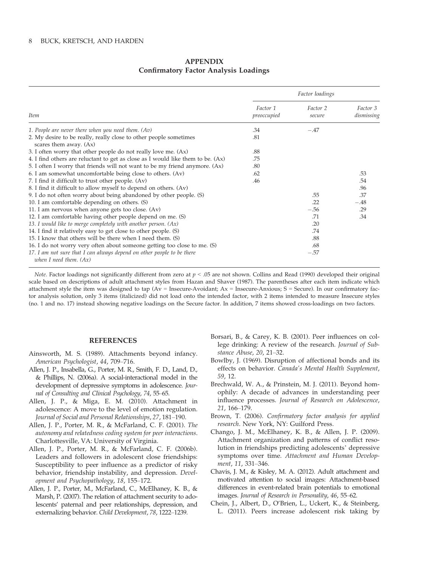| <i>Item</i>                                                                                   | Factor 1<br>preoccupied | Factor 2<br>secure | Factor 3<br>dismissing |
|-----------------------------------------------------------------------------------------------|-------------------------|--------------------|------------------------|
| 1. People are never there when you need them. $(Av)$                                          | .34                     | $-.47$             |                        |
| 2. My desire to be really, really close to other people sometimes<br>scares them away. $(Ax)$ | .81                     |                    |                        |
| 3. I often worry that other people do not really love me. (Ax)                                | .88                     |                    |                        |
| 4. I find others are reluctant to get as close as I would like them to be. (Ax)               | .75                     |                    |                        |
| 5. I often I worry that friends will not want to be my friend anymore. (Ax)                   | .80                     |                    |                        |
| 6. I am somewhat uncomfortable being close to others. (Av)                                    | .62                     |                    | .53                    |
| 7. I find it difficult to trust other people. (Av)                                            | .46                     |                    | .54                    |
| 8. I find it difficult to allow myself to depend on others. (Av)                              |                         |                    | .96                    |
| 9. I do not often worry about being abandoned by other people. (S)                            |                         | .55                | .37                    |
| 10. I am comfortable depending on others. (S)                                                 |                         | .22                | $-.48$                 |
| 11. I am nervous when anyone gets too close. (Av)                                             |                         | $-.56$             | .29                    |
| 12. I am comfortable having other people depend on me. (S)                                    |                         | .71                | .34                    |
| 13. I would like to merge completely with another person. $(Ax)$                              |                         | .20                |                        |
| 14. I find it relatively easy to get close to other people. (S)                               |                         | .74                |                        |
| 15. I know that others will be there when I need them. (S)                                    |                         | .88                |                        |
| 16. I do not worry very often about someone getting too close to me. (S)                      |                         | .68                |                        |
| 17. I am not sure that I can always depend on other people to be there                        |                         | $-.57$             |                        |
| when I need them. $(Ax)$                                                                      |                         |                    |                        |

# APPENDIX Confirmatory Factor Analysis Loadings

Note. Factor loadings not significantly different from zero at  $p < .05$  are not shown. Collins and Read (1990) developed their original scale based on descriptions of adult attachment styles from Hazan and Shaver (1987). The parentheses after each item indicate which attachment style the item was designed to tap  $(Av = Insecure-Avoidant; Ax = Insecure-Anvious; S = Secure)$ . In our confirmatory factor analysis solution, only 3 items (italicized) did not load onto the intended factor, with 2 items intended to measure Insecure styles (no. 1 and no. 17) instead showing negative loadings on the Secure factor. In addition, 7 items showed cross-loadings on two factors.

#### REFERENCES

- Ainsworth, M. S. (1989). Attachments beyond infancy. American Psychologist, 44, 709–716.
- Allen, J. P., Insabella, G., Porter, M. R., Smith, F. D., Land, D., & Phillips, N. (2006a). A social-interactional model in the development of depressive symptoms in adolescence. Journal of Consulting and Clinical Psychology, 74, 55–65.
- Allen, J. P., & Miga, E. M. (2010). Attachment in adolescence: A move to the level of emotion regulation. Journal of Social and Personal Relationships, 27, 181–190.
- Allen, J. P., Porter, M. R., & McFarland, C. F. (2001). The autonomy and relatedness coding system for peer interactions. Charlottesville, VA: University of Virginia.
- Allen, J. P., Porter, M. R., & McFarland, C. F. (2006b). Leaders and followers in adolescent close friendships: Susceptibility to peer influence as a predictor of risky behavior, friendship instability, and depression. Development and Psychopathology, 18, 155–172.
- Allen, J. P., Porter, M., McFarland, C., McElhaney, K. B., & Marsh, P. (2007). The relation of attachment security to adolescents' paternal and peer relationships, depression, and externalizing behavior. Child Development, 78, 1222–1239.
- Borsari, B., & Carey, K. B. (2001). Peer influences on college drinking: A review of the research. Journal of Substance Abuse, 20, 21–32.
- Bowlby, J. (1969). Disruption of affectional bonds and its effects on behavior. Canada's Mental Health Supplement, 59, 12.
- Brechwald, W. A., & Prinstein, M. J. (2011). Beyond homophily: A decade of advances in understanding peer influence processes. Journal of Research on Adolescence, 21, 166–179.
- Brown, T. (2006). Confirmatory factor analysis for applied research. New York, NY: Guilford Press.
- Chango, J. M., McElhaney, K. B., & Allen, J. P. (2009). Attachment organization and patterns of conflict resolution in friendships predicting adolescents' depressive symptoms over time. Attachment and Human Development, 11, 331–346.
- Chavis, J. M., & Kisley, M. A. (2012). Adult attachment and motivated attention to social images: Attachment-based differences in event-related brain potentials to emotional images. Journal of Research in Personality, 46, 55–62.
- Chein, J., Albert, D., O'Brien, L., Uckert, K., & Steinberg, L. (2011). Peers increase adolescent risk taking by